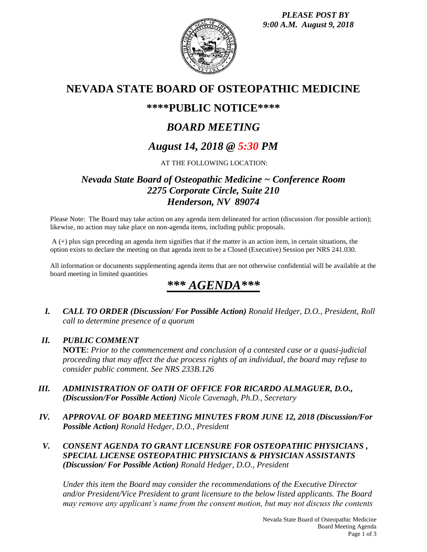

## **NEVADA STATE BOARD OF OSTEOPATHIC MEDICINE**

## **\*\*\*\*PUBLIC NOTICE\*\*\*\***

# *BOARD MEETING*

## *August 14, 2018 @ 5:30 PM*

### AT THE FOLLOWING LOCATION:

### *Nevada State Board of Osteopathic Medicine ~ Conference Room 2275 Corporate Circle, Suite 210 Henderson, NV 89074*

Please Note: The Board may take action on any agenda item delineated for action (discussion /for possible action); likewise, no action may take place on non-agenda items, including public proposals.

A (+) plus sign preceding an agenda item signifies that if the matter is an action item, in certain situations, the option exists to declare the meeting on that agenda item to be a Closed (Executive) Session per NRS 241.030.

All information or documents supplementing agenda items that are not otherwise confidential will be available at the board meeting in limited quantities

# *\*\*\* AGENDA\*\*\**

*I. CALL TO ORDER (Discussion/ For Possible Action) Ronald Hedger, D.O., President, Roll call to determine presence of a quorum*

### *II. PUBLIC COMMENT*

**NOTE**: *Prior to the commencement and conclusion of a contested case or a quasi-judicial proceeding that may affect the due process rights of an individual, the board may refuse to consider public comment. See NRS 233B.126*

- *III. ADMINISTRATION OF OATH OF OFFICE FOR RICARDO ALMAGUER, D.O., (Discussion/For Possible Action) Nicole Cavenagh, Ph.D., Secretary*
- *IV. APPROVAL OF BOARD MEETING MINUTES FROM JUNE 12, 2018 (Discussion/For Possible Action) Ronald Hedger, D.O., President*
- *V. CONSENT AGENDA TO GRANT LICENSURE FOR OSTEOPATHIC PHYSICIANS , SPECIAL LICENSE OSTEOPATHIC PHYSICIANS & PHYSICIAN ASSISTANTS (Discussion/ For Possible Action) Ronald Hedger, D.O., President*

*Under this item the Board may consider the recommendations of the Executive Director and/or President/Vice President to grant licensure to the below listed applicants. The Board may remove any applicant's name from the consent motion, but may not discuss the contents*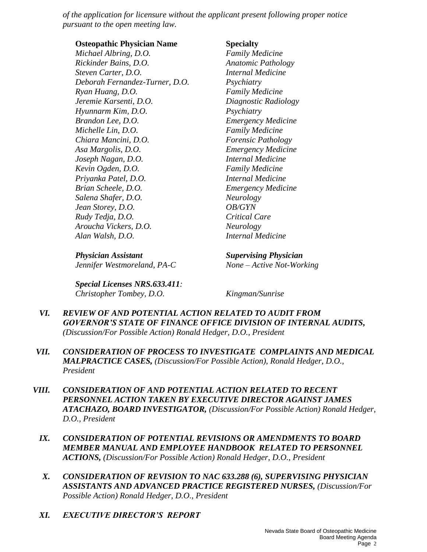*of the application for licensure without the applicant present following proper notice pursuant to the open meeting law.* 

**Osteopathic Physician Name Specialty**

*Michael Albring, D.O. Family Medicine Rickinder Bains, D.O. Anatomic Pathology Steven Carter, D.O. Internal Medicine Deborah Fernandez-Turner, D.O. Psychiatry Ryan Huang, D.O. Family Medicine Jeremie Karsenti, D.O. Diagnostic Radiology Hyunnarm Kim, D.O. Psychiatry Brandon Lee, D.O. Emergency Medicine Michelle Lin, D.O. Family Medicine Chiara Mancini, D.O. Forensic Pathology Asa Margolis, D.O. Emergency Medicine Joseph Nagan, D.O. Internal Medicine Kevin Ogden, D.O. Family Medicine Priyanka Patel, D.O. Internal Medicine Brian Scheele, D.O. Emergency Medicine Salena Shafer, D.O. Neurology Jean Storey, D.O. OB/GYN Rudy Tedja, D.O. Critical Care Aroucha Vickers, D.O. Neurology Alan Walsh, D.O. Internal Medicine*

*Physician Assistant Supervising Physician Jennifer Westmoreland, PA-C None – Active Not-Working*

*Special Licenses NRS.633.411: Christopher Tombey, D.O. Kingman/Sunrise*

- *VI. REVIEW OF AND POTENTIAL ACTION RELATED TO AUDIT FROM GOVERNOR'S STATE OF FINANCE OFFICE DIVISION OF INTERNAL AUDITS, (Discussion/For Possible Action) Ronald Hedger, D.O., President*
- *VII. CONSIDERATION OF PROCESS TO INVESTIGATE COMPLAINTS AND MEDICAL MALPRACTICE CASES, (Discussion/For Possible Action), Ronald Hedger, D.O., President*
- *VIII. CONSIDERATION OF AND POTENTIAL ACTION RELATED TO RECENT PERSONNEL ACTION TAKEN BY EXECUTIVE DIRECTOR AGAINST JAMES ATACHAZO, BOARD INVESTIGATOR, (Discussion/For Possible Action) Ronald Hedger, D.O., President*
	- *IX. CONSIDERATION OF POTENTIAL REVISIONS OR AMENDMENTS TO BOARD MEMBER MANUAL AND EMPLOYEE HANDBOOK RELATED TO PERSONNEL ACTIONS, (Discussion/For Possible Action) Ronald Hedger, D.O., President*
	- *X. CONSIDERATION OF REVISION TO NAC 633.288 (6), SUPERVISING PHYSICIAN ASSISTANTS AND ADVANCED PRACTICE REGISTERED NURSES, (Discussion/For Possible Action) Ronald Hedger, D.O., President*
	- *XI. EXECUTIVE DIRECTOR'S REPORT*